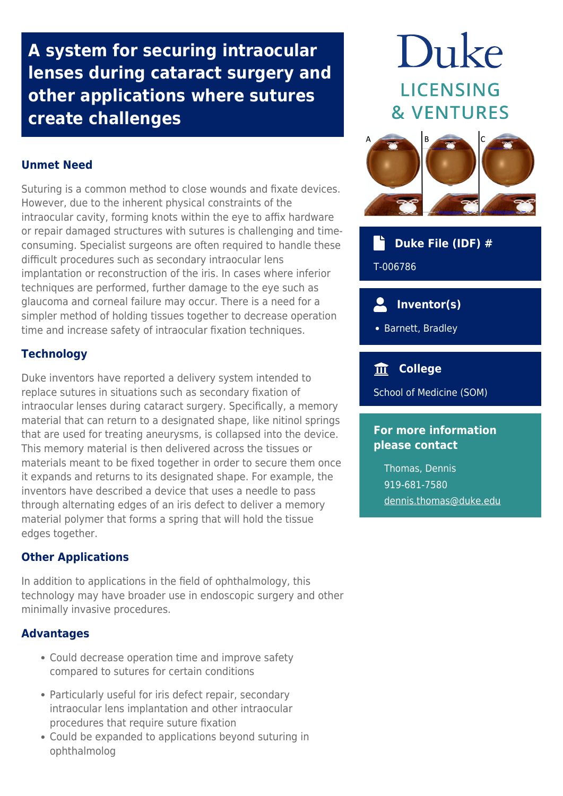**A system for securing intraocular lenses during cataract surgery and other applications where sutures create challenges**

### **Unmet Need**

Suturing is a common method to close wounds and fixate devices. However, due to the inherent physical constraints of the intraocular cavity, forming knots within the eye to affix hardware or repair damaged structures with sutures is challenging and timeconsuming. Specialist surgeons are often required to handle these difficult procedures such as secondary intraocular lens implantation or reconstruction of the iris. In cases where inferior techniques are performed, further damage to the eye such as glaucoma and corneal failure may occur. There is a need for a simpler method of holding tissues together to decrease operation time and increase safety of intraocular fixation techniques.

### **Technology**

Duke inventors have reported a delivery system intended to replace sutures in situations such as secondary fixation of intraocular lenses during cataract surgery. Specifically, a memory material that can return to a designated shape, like nitinol springs that are used for treating aneurysms, is collapsed into the device. This memory material is then delivered across the tissues or materials meant to be fixed together in order to secure them once it expands and returns to its designated shape. For example, the inventors have described a device that uses a needle to pass through alternating edges of an iris defect to deliver a memory material polymer that forms a spring that will hold the tissue edges together.

### **Other Applications**

In addition to applications in the field of ophthalmology, this technology may have broader use in endoscopic surgery and other minimally invasive procedures.

### **Advantages**

- Could decrease operation time and improve safety compared to sutures for certain conditions
- Particularly useful for iris defect repair, secondary intraocular lens implantation and other intraocular procedures that require suture fixation
- Could be expanded to applications beyond suturing in ophthalmolog

# Duke LICENSING **& VENTURES**



### **Duke File (IDF) #**

T-006786

#### $\overline{\mathbf{2}}$  **Inventor(s)**

• Barnett, Bradley

## **College**

School of Medicine (SOM)

### **For more information please contact**

Thomas, Dennis 919-681-7580 [dennis.thomas@duke.edu](mailto:dennis.thomas@duke.edu)